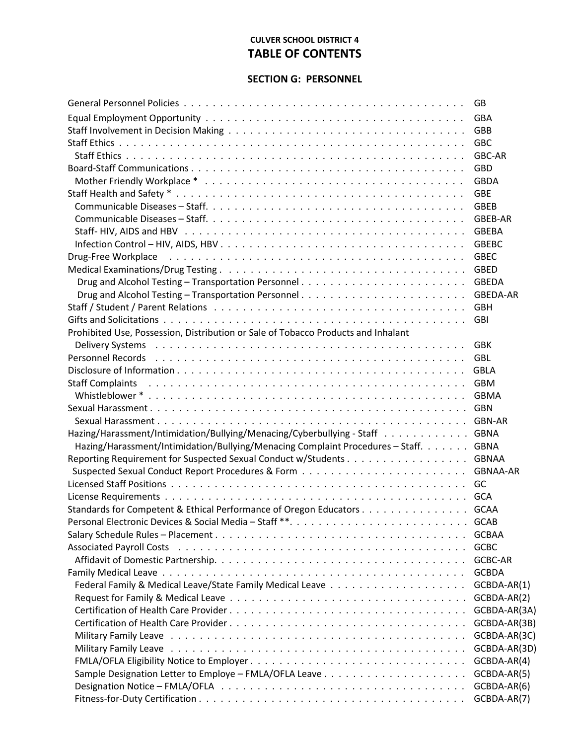## **CULVER SCHOOL DISTRICT 4 TABLE OF CONTENTS**

## **SECTION G: PERSONNEL**

|                                                                                                                 | GB              |
|-----------------------------------------------------------------------------------------------------------------|-----------------|
|                                                                                                                 | <b>GBA</b>      |
|                                                                                                                 | GBB             |
|                                                                                                                 | <b>GBC</b>      |
|                                                                                                                 | GBC-AR          |
|                                                                                                                 | <b>GBD</b>      |
|                                                                                                                 | <b>GBDA</b>     |
|                                                                                                                 | <b>GBE</b>      |
|                                                                                                                 | <b>GBEB</b>     |
|                                                                                                                 | GBEB-AR         |
|                                                                                                                 | <b>GBEBA</b>    |
|                                                                                                                 | <b>GBEBC</b>    |
| Drug-Free Workplace                                                                                             | <b>GBEC</b>     |
|                                                                                                                 | <b>GBED</b>     |
|                                                                                                                 | <b>GBEDA</b>    |
|                                                                                                                 | GBEDA-AR        |
|                                                                                                                 | <b>GBH</b>      |
|                                                                                                                 | <b>GBI</b>      |
| Prohibited Use, Possession, Distribution or Sale of Tobacco Products and Inhalant                               |                 |
|                                                                                                                 | <b>GBK</b>      |
|                                                                                                                 | <b>GBL</b>      |
|                                                                                                                 | <b>GBLA</b>     |
| Staff Complaints (also contained a series and contained a series and complaints and contained a series of the s | <b>GBM</b>      |
|                                                                                                                 | <b>GBMA</b>     |
|                                                                                                                 | GBN             |
|                                                                                                                 | GBN-AR          |
| Hazing/Harassment/Intimidation/Bullying/Menacing/Cyberbullying - Staff GBNA                                     |                 |
| Hazing/Harassment/Intimidation/Bullying/Menacing Complaint Procedures - Staff.                                  | <b>GBNA</b>     |
|                                                                                                                 | GBNAA           |
|                                                                                                                 | <b>GBNAA-AR</b> |
|                                                                                                                 |                 |
|                                                                                                                 |                 |
| Standards for Competent & Ethical Performance of Oregon Educators GCAA                                          |                 |
| Personal Electronic Devices & Social Media - Staff **                                                           | <b>GCAB</b>     |
|                                                                                                                 | <b>GCBAA</b>    |
|                                                                                                                 | <b>GCBC</b>     |
|                                                                                                                 | <b>GCBC-AR</b>  |
|                                                                                                                 | <b>GCBDA</b>    |
|                                                                                                                 | GCBDA-AR(1)     |
|                                                                                                                 | GCBDA-AR(2)     |
|                                                                                                                 | GCBDA-AR(3A)    |
|                                                                                                                 | GCBDA-AR(3B)    |
|                                                                                                                 | GCBDA-AR(3C)    |
|                                                                                                                 | GCBDA-AR(3D)    |
|                                                                                                                 | GCBDA-AR(4)     |
|                                                                                                                 | GCBDA-AR(5)     |
|                                                                                                                 | GCBDA-AR(6)     |
|                                                                                                                 | GCBDA-AR(7)     |
|                                                                                                                 |                 |